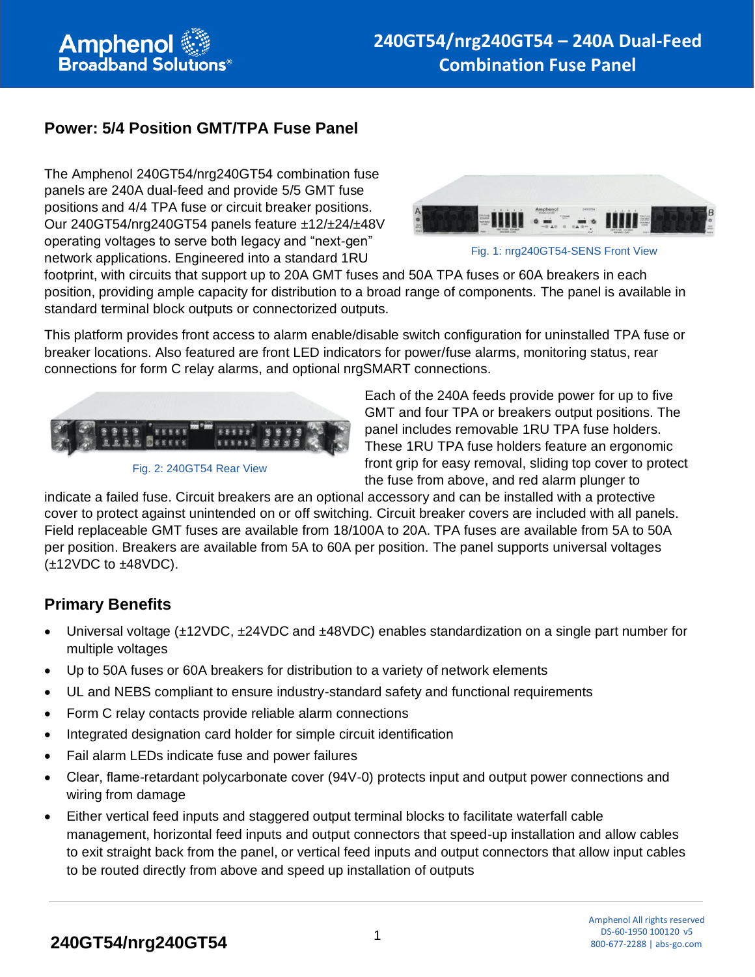### **Power: 5/4 Position GMT/TPA Fuse Panel**

The Amphenol 240GT54/nrg240GT54 combination fuse panels are 240A dual-feed and provide 5/5 GMT fuse positions and 4/4 TPA fuse or circuit breaker positions. Our 240GT54/nrg240GT54 panels feature ±12/±24/±48V operating voltages to serve both legacy and "next-gen" network applications. Engineered into a standard 1RU



Fig. 1: nrg240GT54-SENS Front View

footprint, with circuits that support up to 20A GMT fuses and 50A TPA fuses or 60A breakers in each position, providing ample capacity for distribution to a broad range of components. The panel is available in standard terminal block outputs or connectorized outputs.

This platform provides front access to alarm enable/disable switch configuration for uninstalled TPA fuse or breaker locations. Also featured are front LED indicators for power/fuse alarms, monitoring status, rear connections for form C relay alarms, and optional nrgSMART connections.



Fig. 2: 240GT54 Rear View

Each of the 240A feeds provide power for up to five GMT and four TPA or breakers output positions. The panel includes removable 1RU TPA fuse holders. These 1RU TPA fuse holders feature an ergonomic front grip for easy removal, sliding top cover to protect the fuse from above, and red alarm plunger to

indicate a failed fuse. Circuit breakers are an optional accessory and can be installed with a protective cover to protect against unintended on or off switching. Circuit breaker covers are included with all panels. Field replaceable GMT fuses are available from 18/100A to 20A. TPA fuses are available from 5A to 50A per position. Breakers are available from 5A to 60A per position. The panel supports universal voltages  $(\pm 12$ VDC to  $\pm 48$ VDC).

### **Primary Benefits**

- Universal voltage (±12VDC, ±24VDC and ±48VDC) enables standardization on a single part number for multiple voltages
- Up to 50A fuses or 60A breakers for distribution to a variety of network elements
- UL and NEBS compliant to ensure industry-standard safety and functional requirements
- Form C relay contacts provide reliable alarm connections
- Integrated designation card holder for simple circuit identification
- Fail alarm LEDs indicate fuse and power failures
- Clear, flame-retardant polycarbonate cover (94V-0) protects input and output power connections and wiring from damage
- Either vertical feed inputs and staggered output terminal blocks to facilitate waterfall cable management, horizontal feed inputs and output connectors that speed-up installation and allow cables to exit straight back from the panel, or vertical feed inputs and output connectors that allow input cables to be routed directly from above and speed up installation of outputs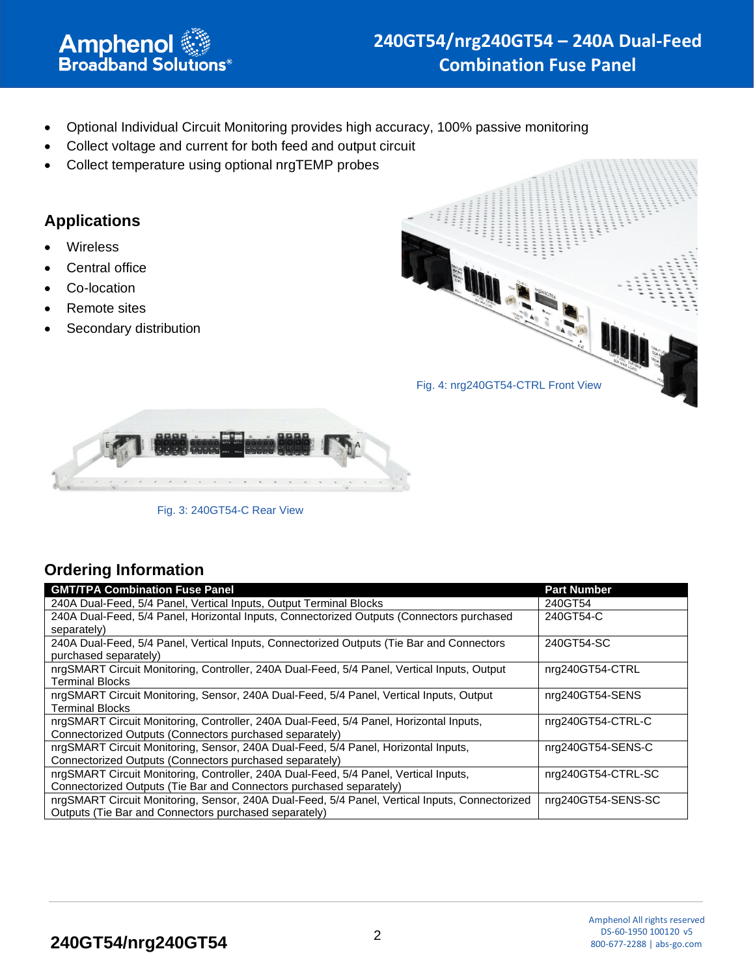- Optional Individual Circuit Monitoring provides high accuracy, 100% passive monitoring
- Collect voltage and current for both feed and output circuit
- Collect temperature using optional nrgTEMP probes

#### **Applications**

- **Wireless**
- Central office
- Co-location
- Remote sites
- Secondary distribution





Fig. 3: 240GT54-C Rear View

# **Ordering Information**

| <b>GMT/TPA Combination Fuse Panel</b>                                                          | <b>Part Number</b> |
|------------------------------------------------------------------------------------------------|--------------------|
| 240A Dual-Feed, 5/4 Panel, Vertical Inputs, Output Terminal Blocks                             | 240GT54            |
| 240A Dual-Feed, 5/4 Panel, Horizontal Inputs, Connectorized Outputs (Connectors purchased      | 240GT54-C          |
| separately)                                                                                    |                    |
| 240A Dual-Feed, 5/4 Panel, Vertical Inputs, Connectorized Outputs (Tie Bar and Connectors      | 240GT54-SC         |
| purchased separately)                                                                          |                    |
| nrgSMART Circuit Monitoring, Controller, 240A Dual-Feed, 5/4 Panel, Vertical Inputs, Output    | nrg240GT54-CTRL    |
| Terminal Blocks                                                                                |                    |
| nrgSMART Circuit Monitoring, Sensor, 240A Dual-Feed, 5/4 Panel, Vertical Inputs, Output        | nrg240GT54-SENS    |
| Terminal Blocks                                                                                |                    |
| nrgSMART Circuit Monitoring, Controller, 240A Dual-Feed, 5/4 Panel, Horizontal Inputs,         | nrg240GT54-CTRL-C  |
| Connectorized Outputs (Connectors purchased separately)                                        |                    |
| nrgSMART Circuit Monitoring, Sensor, 240A Dual-Feed, 5/4 Panel, Horizontal Inputs,             | nrg240GT54-SENS-C  |
| Connectorized Outputs (Connectors purchased separately)                                        |                    |
| nrgSMART Circuit Monitoring, Controller, 240A Dual-Feed, 5/4 Panel, Vertical Inputs,           | nrg240GT54-CTRL-SC |
| Connectorized Outputs (Tie Bar and Connectors purchased separately)                            |                    |
| nrgSMART Circuit Monitoring, Sensor, 240A Dual-Feed, 5/4 Panel, Vertical Inputs, Connectorized | nrg240GT54-SENS-SC |
| Outputs (Tie Bar and Connectors purchased separately)                                          |                    |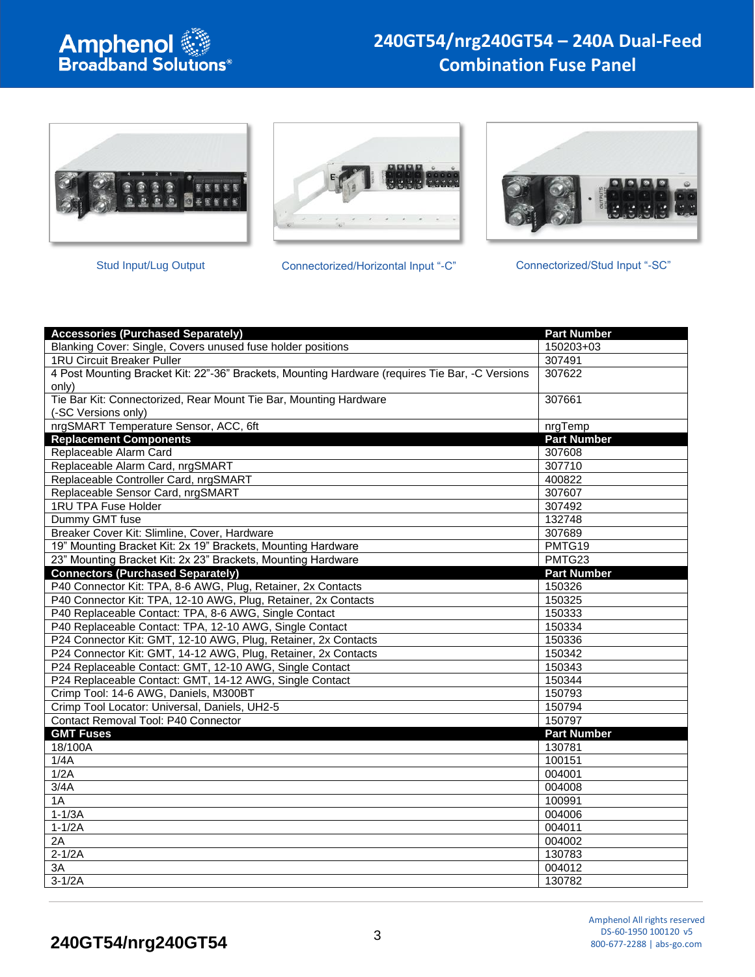







Stud Input/Lug Output Connectorized/Horizontal Input "-C" Connectorized/Stud Input "-SC"



| <b>Accessories (Purchased Separately)</b>                                                       | <b>Part Number</b> |  |
|-------------------------------------------------------------------------------------------------|--------------------|--|
| Blanking Cover: Single, Covers unused fuse holder positions                                     | 150203+03          |  |
| 1RU Circuit Breaker Puller                                                                      | 307491             |  |
| 4 Post Mounting Bracket Kit: 22"-36" Brackets, Mounting Hardware (requires Tie Bar, -C Versions | 307622             |  |
| only)                                                                                           |                    |  |
| Tie Bar Kit: Connectorized, Rear Mount Tie Bar, Mounting Hardware                               | 307661             |  |
| (-SC Versions only)                                                                             |                    |  |
| nrgSMART Temperature Sensor, ACC, 6ft                                                           | nrgTemp            |  |
| <b>Replacement Components</b>                                                                   | <b>Part Number</b> |  |
| Replaceable Alarm Card                                                                          | 307608             |  |
| Replaceable Alarm Card, nrgSMART                                                                | 307710             |  |
| Replaceable Controller Card, nrgSMART                                                           | 400822             |  |
| Replaceable Sensor Card, nrgSMART                                                               | 307607             |  |
| 1RU TPA Fuse Holder                                                                             | 307492             |  |
| Dummy GMT fuse                                                                                  | 132748             |  |
| Breaker Cover Kit: Slimline, Cover, Hardware                                                    | 307689             |  |
| 19" Mounting Bracket Kit: 2x 19" Brackets, Mounting Hardware                                    | PMTG19             |  |
| 23" Mounting Bracket Kit: 2x 23" Brackets, Mounting Hardware                                    | PMTG23             |  |
| <b>Connectors (Purchased Separately)</b>                                                        | <b>Part Number</b> |  |
| P40 Connector Kit: TPA, 8-6 AWG, Plug, Retainer, 2x Contacts                                    | 150326             |  |
| P40 Connector Kit: TPA, 12-10 AWG, Plug, Retainer, 2x Contacts                                  | 150325             |  |
| P40 Replaceable Contact: TPA, 8-6 AWG, Single Contact                                           | 150333             |  |
| P40 Replaceable Contact: TPA, 12-10 AWG, Single Contact                                         | 150334             |  |
| P24 Connector Kit: GMT, 12-10 AWG, Plug, Retainer, 2x Contacts                                  | 150336             |  |
| P24 Connector Kit: GMT, 14-12 AWG, Plug, Retainer, 2x Contacts                                  | 150342             |  |
| P24 Replaceable Contact: GMT, 12-10 AWG, Single Contact                                         | 150343             |  |
| P24 Replaceable Contact: GMT, 14-12 AWG, Single Contact                                         | 150344             |  |
| Crimp Tool: 14-6 AWG, Daniels, M300BT                                                           | 150793             |  |
| Crimp Tool Locator: Universal, Daniels, UH2-5                                                   | 150794             |  |
| Contact Removal Tool: P40 Connector                                                             | 150797             |  |
| <b>GMT Fuses</b>                                                                                | <b>Part Number</b> |  |
| 18/100A                                                                                         | 130781             |  |
| 1/4A                                                                                            | 100151             |  |
| 1/2A                                                                                            | 004001             |  |
| 3/4A                                                                                            | 004008             |  |
| 1A                                                                                              | 100991             |  |
| $1-1/3A$                                                                                        | 004006             |  |
| $1-1/2A$                                                                                        | 004011             |  |
| 2A                                                                                              | 004002             |  |
| $2-1/2A$                                                                                        | 130783             |  |
| 3A                                                                                              | 004012             |  |
| $3-1/2A$                                                                                        | 130782             |  |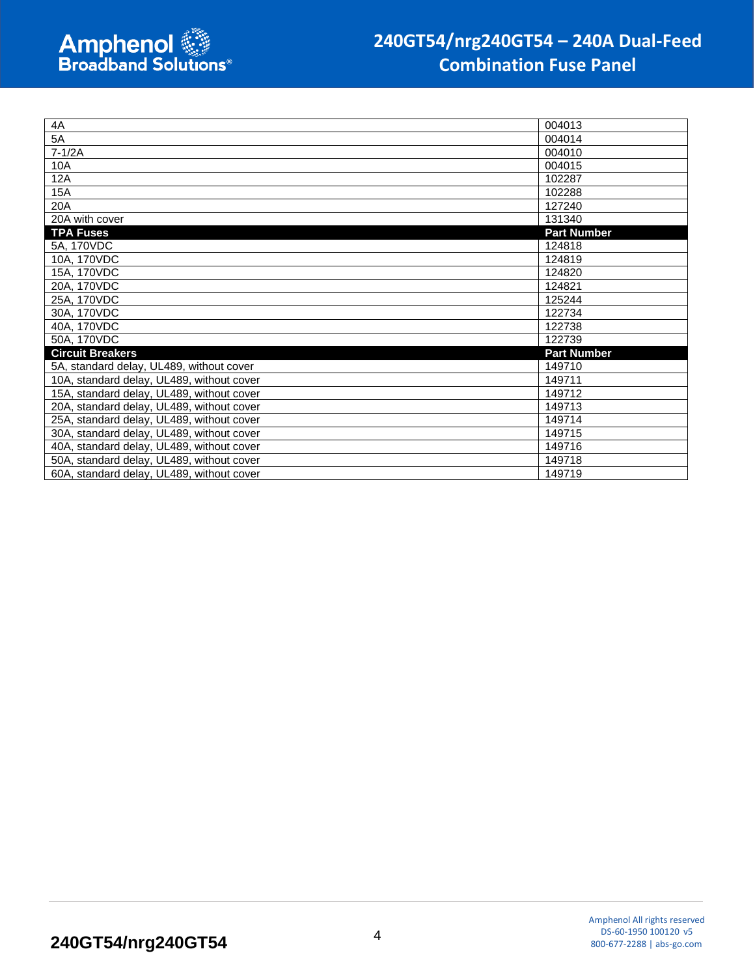| 4A                                        | 004013             |
|-------------------------------------------|--------------------|
| 5A                                        | 004014             |
| $7-1/2A$                                  | 004010             |
| 10A                                       | 004015             |
| 12A                                       | 102287             |
| 15A                                       | 102288             |
| 20A                                       | 127240             |
| 20A with cover                            | 131340             |
| <b>TPA Fuses</b>                          | <b>Part Number</b> |
| 5A, 170VDC                                | 124818             |
| 10A, 170VDC                               | 124819             |
| 15A, 170VDC                               | 124820             |
| 20A, 170VDC                               | 124821             |
| 25A, 170VDC                               | 125244             |
| 30A, 170VDC                               | 122734             |
| 40A, 170VDC                               | 122738             |
| 50A, 170VDC                               | 122739             |
| <b>Circuit Breakers</b>                   | <b>Part Number</b> |
| 5A, standard delay, UL489, without cover  | 149710             |
| 10A, standard delay, UL489, without cover | 149711             |
| 15A, standard delay, UL489, without cover | 149712             |
| 20A, standard delay, UL489, without cover | 149713             |
| 25A, standard delay, UL489, without cover | 149714             |
| 30A, standard delay, UL489, without cover | 149715             |
| 40A, standard delay, UL489, without cover | 149716             |
| 50A, standard delay, UL489, without cover | 149718             |
| 60A, standard delay, UL489, without cover | 149719             |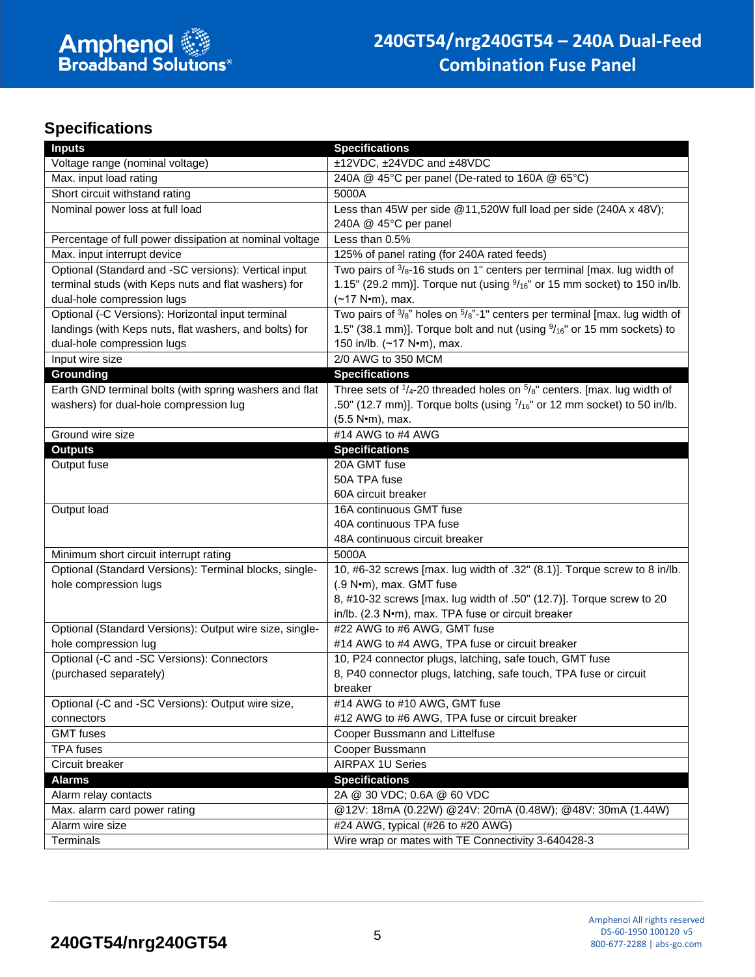## **Specifications**

| <b>Inputs</b><br><b>Specifications</b>                                                                                                                  |  |
|---------------------------------------------------------------------------------------------------------------------------------------------------------|--|
| ±12VDC, ±24VDC and ±48VDC<br>Voltage range (nominal voltage)                                                                                            |  |
| 240A @ 45°C per panel (De-rated to 160A @ 65°C)<br>Max. input load rating                                                                               |  |
| Short circuit withstand rating<br>5000A                                                                                                                 |  |
| Nominal power loss at full load<br>Less than 45W per side @11,520W full load per side (240A x 48V);                                                     |  |
| 240A @ 45°C per panel                                                                                                                                   |  |
| Less than 0.5%<br>Percentage of full power dissipation at nominal voltage                                                                               |  |
| Max. input interrupt device<br>125% of panel rating (for 240A rated feeds)                                                                              |  |
| Two pairs of $\frac{3}{8}$ -16 studs on 1" centers per terminal [max. lug width of<br>Optional (Standard and -SC versions): Vertical input              |  |
| 1.15" (29.2 mm)]. Torque nut (using $9/16$ " or 15 mm socket) to 150 in/lb.<br>terminal studs (with Keps nuts and flat washers) for                     |  |
| dual-hole compression lugs<br>(~17 N•m), max.                                                                                                           |  |
| Two pairs of $\frac{3}{8}$ " holes on $\frac{5}{8}$ "-1" centers per terminal [max. lug width of<br>Optional (-C Versions): Horizontal input terminal   |  |
| 1.5" (38.1 mm)]. Torque bolt and nut (using $\frac{9}{16}$ " or 15 mm sockets) to<br>landings (with Keps nuts, flat washers, and bolts) for             |  |
| dual-hole compression lugs<br>150 in/lb. (~17 N•m), max.                                                                                                |  |
| 2/0 AWG to 350 MCM<br>Input wire size                                                                                                                   |  |
| Grounding<br><b>Specifications</b>                                                                                                                      |  |
| Three sets of $\frac{1}{4}$ -20 threaded holes on $\frac{5}{8}$ " centers. [max. lug width of<br>Earth GND terminal bolts (with spring washers and flat |  |
| .50" (12.7 mm)]. Torque bolts (using $7/16$ " or 12 mm socket) to 50 in/lb.<br>washers) for dual-hole compression lug                                   |  |
| (5.5 N•m), max.                                                                                                                                         |  |
| #14 AWG to #4 AWG<br>Ground wire size                                                                                                                   |  |
| <b>Outputs</b><br><b>Specifications</b>                                                                                                                 |  |
| Output fuse<br>20A GMT fuse                                                                                                                             |  |
| 50A TPA fuse                                                                                                                                            |  |
| 60A circuit breaker                                                                                                                                     |  |
| Output load<br>16A continuous GMT fuse                                                                                                                  |  |
| 40A continuous TPA fuse                                                                                                                                 |  |
| 48A continuous circuit breaker                                                                                                                          |  |
| Minimum short circuit interrupt rating<br>5000A                                                                                                         |  |
| Optional (Standard Versions): Terminal blocks, single-<br>10, #6-32 screws [max. lug width of .32" (8.1)]. Torque screw to 8 in/lb.                     |  |
| hole compression lugs<br>(.9 N·m), max. GMT fuse<br>8, #10-32 screws [max. lug width of .50" (12.7)]. Torque screw to 20                                |  |
| in/lb. (2.3 N•m), max. TPA fuse or circuit breaker                                                                                                      |  |
| #22 AWG to #6 AWG, GMT fuse<br>Optional (Standard Versions): Output wire size, single-                                                                  |  |
| #14 AWG to #4 AWG, TPA fuse or circuit breaker<br>hole compression lug                                                                                  |  |
| Optional (-C and -SC Versions): Connectors<br>10, P24 connector plugs, latching, safe touch, GMT fuse                                                   |  |
| 8, P40 connector plugs, latching, safe touch, TPA fuse or circuit<br>(purchased separately)                                                             |  |
| breaker                                                                                                                                                 |  |
| Optional (-C and -SC Versions): Output wire size,<br>#14 AWG to #10 AWG, GMT fuse                                                                       |  |
| #12 AWG to #6 AWG, TPA fuse or circuit breaker<br>connectors                                                                                            |  |
| <b>GMT</b> fuses<br>Cooper Bussmann and Littelfuse                                                                                                      |  |
| <b>TPA</b> fuses<br>Cooper Bussmann                                                                                                                     |  |
| Circuit breaker<br><b>AIRPAX 1U Series</b>                                                                                                              |  |
| <b>Alarms</b><br><b>Specifications</b>                                                                                                                  |  |
| 2A @ 30 VDC; 0.6A @ 60 VDC<br>Alarm relay contacts                                                                                                      |  |
| @12V: 18mA (0.22W) @24V: 20mA (0.48W); @48V: 30mA (1.44W)<br>Max. alarm card power rating                                                               |  |
| #24 AWG, typical (#26 to #20 AWG)<br>Alarm wire size                                                                                                    |  |
| Wire wrap or mates with TE Connectivity 3-640428-3<br>Terminals                                                                                         |  |